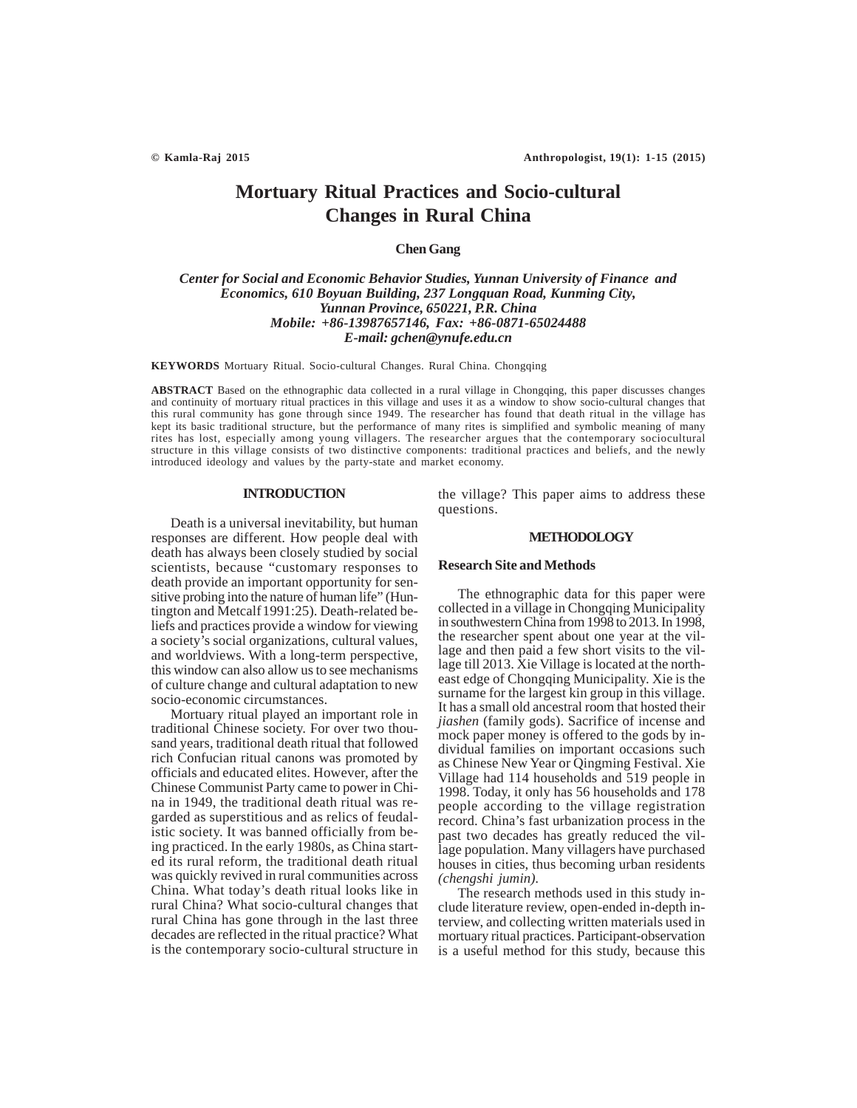# **Mortuary Ritual Practices and Socio-cultural Changes in Rural China**

**Chen Gang**

## *Center for Social and Economic Behavior Studies, Yunnan University of Finance and Economics, 610 Boyuan Building, 237 Longquan Road, Kunming City, Yunnan Province, 650221, P.R. China Mobile: +86-13987657146, Fax: +86-0871-65024488 E-mail: gchen@ynufe.edu.cn*

**KEYWORDS** Mortuary Ritual. Socio-cultural Changes. Rural China. Chongqing

**ABSTRACT** Based on the ethnographic data collected in a rural village in Chongqing, this paper discusses changes and continuity of mortuary ritual practices in this village and uses it as a window to show socio-cultural changes that this rural community has gone through since 1949. The researcher has found that death ritual in the village has kept its basic traditional structure, but the performance of many rites is simplified and symbolic meaning of many rites has lost, especially among young villagers. The researcher argues that the contemporary sociocultural structure in this village consists of two distinctive components: traditional practices and beliefs, and the newly introduced ideology and values by the party-state and market economy.

## **INTRODUCTION**

Death is a universal inevitability, but human responses are different. How people deal with death has always been closely studied by social scientists, because "customary responses to death provide an important opportunity for sensitive probing into the nature of human life" (Huntington and Metcalf1991:25). Death-related beliefs and practices provide a window for viewing a society's social organizations, cultural values, and worldviews. With a long-term perspective, this window can also allow us to see mechanisms of culture change and cultural adaptation to new socio-economic circumstances.

Mortuary ritual played an important role in traditional Chinese society. For over two thousand years, traditional death ritual that followed rich Confucian ritual canons was promoted by officials and educated elites. However, after the Chinese Communist Party came to power in China in 1949, the traditional death ritual was regarded as superstitious and as relics of feudalistic society. It was banned officially from being practiced. In the early 1980s, as China started its rural reform, the traditional death ritual was quickly revived in rural communities across China. What today's death ritual looks like in rural China? What socio-cultural changes that rural China has gone through in the last three decades are reflected in the ritual practice? What is the contemporary socio-cultural structure in the village? This paper aims to address these questions.

## **METHODOLOGY**

#### **Research Site and Methods**

The ethnographic data for this paper were collected in a village in Chongqing Municipality in southwestern China from 1998 to 2013. In 1998, the researcher spent about one year at the village and then paid a few short visits to the village till 2013. Xie Village is located at the northeast edge of Chongqing Municipality. Xie is the surname for the largest kin group in this village. It has a small old ancestral room that hosted their *jiashen* (family gods). Sacrifice of incense and mock paper money is offered to the gods by individual families on important occasions such as Chinese New Year or Qingming Festival. Xie Village had 114 households and 519 people in 1998. Today, it only has 56 households and 178 people according to the village registration record. China's fast urbanization process in the past two decades has greatly reduced the village population. Many villagers have purchased houses in cities, thus becoming urban residents *(chengshi jumin).*

The research methods used in this study include literature review, open-ended in-depth interview, and collecting written materials used in mortuary ritual practices. Participant-observation is a useful method for this study, because this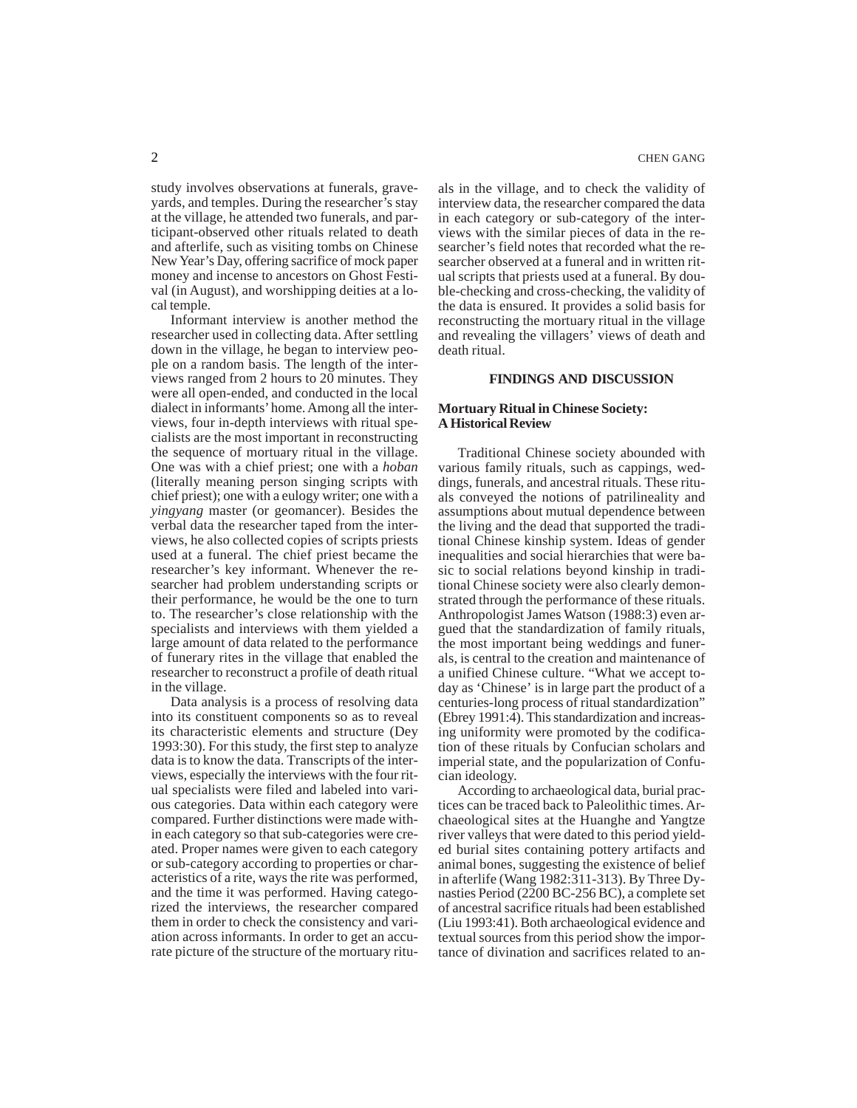study involves observations at funerals, graveyards, and temples. During the researcher's stay at the village, he attended two funerals, and participant-observed other rituals related to death and afterlife, such as visiting tombs on Chinese New Year's Day, offering sacrifice of mock paper money and incense to ancestors on Ghost Festival (in August), and worshipping deities at a local temple.

Informant interview is another method the researcher used in collecting data. After settling down in the village, he began to interview people on a random basis. The length of the interviews ranged from 2 hours to 20 minutes. They were all open-ended, and conducted in the local dialect in informants' home. Among all the interviews, four in-depth interviews with ritual specialists are the most important in reconstructing the sequence of mortuary ritual in the village. One was with a chief priest; one with a *hoban* (literally meaning person singing scripts with chief priest); one with a eulogy writer; one with a *yingyang* master (or geomancer). Besides the verbal data the researcher taped from the interviews, he also collected copies of scripts priests used at a funeral. The chief priest became the researcher's key informant. Whenever the researcher had problem understanding scripts or their performance, he would be the one to turn to. The researcher's close relationship with the specialists and interviews with them yielded a large amount of data related to the performance of funerary rites in the village that enabled the researcher to reconstruct a profile of death ritual in the village.

Data analysis is a process of resolving data into its constituent components so as to reveal its characteristic elements and structure (Dey 1993:30). For this study, the first step to analyze data is to know the data. Transcripts of the interviews, especially the interviews with the four ritual specialists were filed and labeled into various categories. Data within each category were compared. Further distinctions were made within each category so that sub-categories were created. Proper names were given to each category or sub-category according to properties or characteristics of a rite, ways the rite was performed, and the time it was performed. Having categorized the interviews, the researcher compared them in order to check the consistency and variation across informants. In order to get an accurate picture of the structure of the mortuary rituals in the village, and to check the validity of interview data, the researcher compared the data in each category or sub-category of the interviews with the similar pieces of data in the researcher's field notes that recorded what the researcher observed at a funeral and in written ritual scripts that priests used at a funeral. By double-checking and cross-checking, the validity of the data is ensured. It provides a solid basis for reconstructing the mortuary ritual in the village and revealing the villagers' views of death and death ritual.

## **FINDINGS AND DISCUSSION**

## **Mortuary Ritual in Chinese Society: A Historical Review**

Traditional Chinese society abounded with various family rituals, such as cappings, weddings, funerals, and ancestral rituals. These rituals conveyed the notions of patrilineality and assumptions about mutual dependence between the living and the dead that supported the traditional Chinese kinship system. Ideas of gender inequalities and social hierarchies that were basic to social relations beyond kinship in traditional Chinese society were also clearly demonstrated through the performance of these rituals. Anthropologist James Watson (1988:3) even argued that the standardization of family rituals, the most important being weddings and funerals, is central to the creation and maintenance of a unified Chinese culture. "What we accept today as 'Chinese' is in large part the product of a centuries-long process of ritual standardization" (Ebrey 1991:4). This standardization and increasing uniformity were promoted by the codification of these rituals by Confucian scholars and imperial state, and the popularization of Confucian ideology.

According to archaeological data, burial practices can be traced back to Paleolithic times. Archaeological sites at the Huanghe and Yangtze river valleys that were dated to this period yielded burial sites containing pottery artifacts and animal bones, suggesting the existence of belief in afterlife (Wang 1982:311-313). By Three Dynasties Period (2200 BC-256 BC), a complete set of ancestral sacrifice rituals had been established (Liu 1993:41). Both archaeological evidence and textual sources from this period show the importance of divination and sacrifices related to an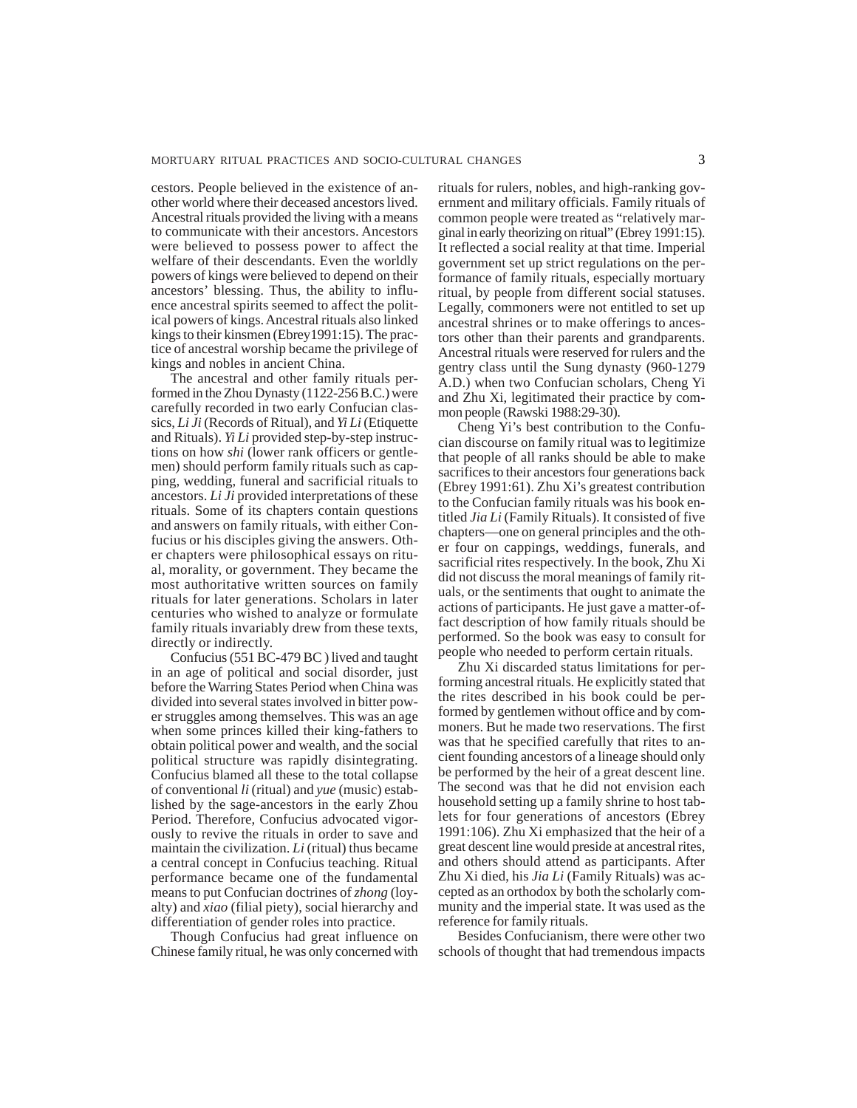cestors. People believed in the existence of another world where their deceased ancestors lived. Ancestral rituals provided the living with a means to communicate with their ancestors. Ancestors were believed to possess power to affect the welfare of their descendants. Even the worldly powers of kings were believed to depend on their ancestors' blessing. Thus, the ability to influence ancestral spirits seemed to affect the political powers of kings. Ancestral rituals also linked kings to their kinsmen (Ebrey1991:15). The practice of ancestral worship became the privilege of kings and nobles in ancient China.

The ancestral and other family rituals performed in the Zhou Dynasty (1122-256 B.C.) were carefully recorded in two early Confucian classics, *Li Ji* (Records of Ritual), and *Yi Li* (Etiquette and Rituals). *Yi Li* provided step-by-step instructions on how *shi* (lower rank officers or gentlemen) should perform family rituals such as capping, wedding, funeral and sacrificial rituals to ancestors. *Li Ji* provided interpretations of these rituals. Some of its chapters contain questions and answers on family rituals, with either Confucius or his disciples giving the answers. Other chapters were philosophical essays on ritual, morality, or government. They became the most authoritative written sources on family rituals for later generations. Scholars in later centuries who wished to analyze or formulate family rituals invariably drew from these texts, directly or indirectly.

Confucius (551 BC-479 BC ) lived and taught in an age of political and social disorder, just before the Warring States Period when China was divided into several states involved in bitter power struggles among themselves. This was an age when some princes killed their king-fathers to obtain political power and wealth, and the social political structure was rapidly disintegrating. Confucius blamed all these to the total collapse of conventional *li* (ritual) and *yue* (music) established by the sage-ancestors in the early Zhou Period. Therefore, Confucius advocated vigorously to revive the rituals in order to save and maintain the civilization. *Li* (ritual) thus became a central concept in Confucius teaching. Ritual performance became one of the fundamental means to put Confucian doctrines of *zhong* (loyalty) and *xiao* (filial piety), social hierarchy and differentiation of gender roles into practice.

Though Confucius had great influence on Chinese family ritual, he was only concerned with rituals for rulers, nobles, and high-ranking government and military officials. Family rituals of common people were treated as "relatively marginal in early theorizing on ritual" (Ebrey 1991:15). It reflected a social reality at that time. Imperial government set up strict regulations on the performance of family rituals, especially mortuary ritual, by people from different social statuses. Legally, commoners were not entitled to set up ancestral shrines or to make offerings to ancestors other than their parents and grandparents. Ancestral rituals were reserved for rulers and the gentry class until the Sung dynasty (960-1279 A.D.) when two Confucian scholars, Cheng Yi and Zhu Xi, legitimated their practice by common people (Rawski 1988:29-30).

Cheng Yi's best contribution to the Confucian discourse on family ritual was to legitimize that people of all ranks should be able to make sacrifices to their ancestors four generations back (Ebrey 1991:61). Zhu Xi's greatest contribution to the Confucian family rituals was his book entitled *Jia Li* (Family Rituals). It consisted of five chapters—one on general principles and the other four on cappings, weddings, funerals, and sacrificial rites respectively. In the book, Zhu Xi did not discuss the moral meanings of family rituals, or the sentiments that ought to animate the actions of participants. He just gave a matter-offact description of how family rituals should be performed. So the book was easy to consult for people who needed to perform certain rituals.

Zhu Xi discarded status limitations for performing ancestral rituals. He explicitly stated that the rites described in his book could be performed by gentlemen without office and by commoners. But he made two reservations. The first was that he specified carefully that rites to ancient founding ancestors of a lineage should only be performed by the heir of a great descent line. The second was that he did not envision each household setting up a family shrine to host tablets for four generations of ancestors (Ebrey 1991:106). Zhu Xi emphasized that the heir of a great descent line would preside at ancestral rites, and others should attend as participants. After Zhu Xi died, his *Jia Li* (Family Rituals) was accepted as an orthodox by both the scholarly community and the imperial state. It was used as the reference for family rituals.

Besides Confucianism, there were other two schools of thought that had tremendous impacts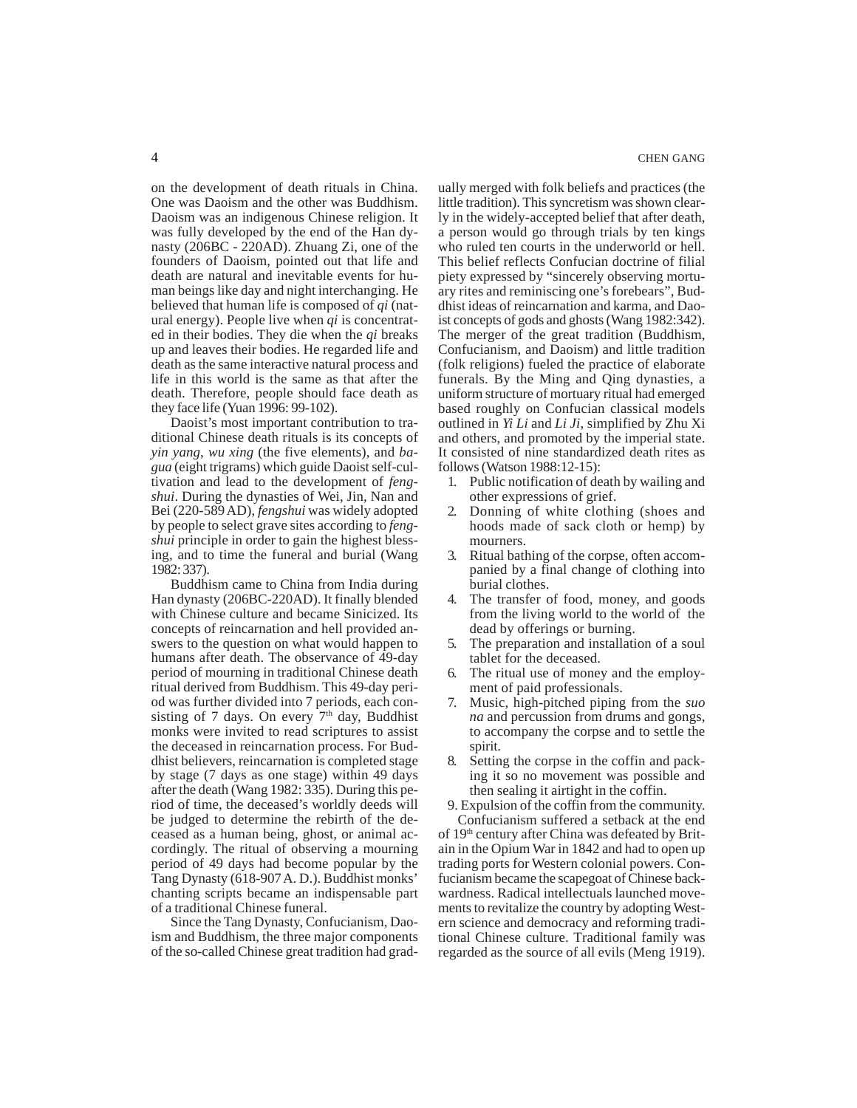on the development of death rituals in China. One was Daoism and the other was Buddhism. Daoism was an indigenous Chinese religion. It was fully developed by the end of the Han dynasty (206BC - 220AD). Zhuang Zi, one of the founders of Daoism, pointed out that life and death are natural and inevitable events for human beings like day and night interchanging. He believed that human life is composed of *qi* (natural energy). People live when *qi* is concentrated in their bodies. They die when the *qi* breaks up and leaves their bodies. He regarded life and death as the same interactive natural process and life in this world is the same as that after the death. Therefore, people should face death as they face life (Yuan 1996: 99-102).

Daoist's most important contribution to traditional Chinese death rituals is its concepts of *yin yang*, *wu xing* (the five elements), and *bagua* (eight trigrams) which guide Daoist self-cultivation and lead to the development of *fengshui*. During the dynasties of Wei, Jin, Nan and Bei (220-589 AD), *fengshui* was widely adopted by people to select grave sites according to *fengshui* principle in order to gain the highest blessing, and to time the funeral and burial (Wang 1982: 337).

Buddhism came to China from India during Han dynasty (206BC-220AD). It finally blended with Chinese culture and became Sinicized. Its concepts of reincarnation and hell provided answers to the question on what would happen to humans after death. The observance of 49-day period of mourning in traditional Chinese death ritual derived from Buddhism. This 49-day period was further divided into 7 periods, each consisting of 7 days. On every  $7<sup>th</sup>$  day, Buddhist monks were invited to read scriptures to assist the deceased in reincarnation process. For Buddhist believers, reincarnation is completed stage by stage (7 days as one stage) within 49 days after the death (Wang 1982: 335). During this period of time, the deceased's worldly deeds will be judged to determine the rebirth of the deceased as a human being, ghost, or animal accordingly. The ritual of observing a mourning period of 49 days had become popular by the Tang Dynasty (618-907 A. D.). Buddhist monks' chanting scripts became an indispensable part of a traditional Chinese funeral.

Since the Tang Dynasty, Confucianism, Daoism and Buddhism, the three major components of the so-called Chinese great tradition had gradually merged with folk beliefs and practices (the little tradition). This syncretism was shown clearly in the widely-accepted belief that after death, a person would go through trials by ten kings who ruled ten courts in the underworld or hell. This belief reflects Confucian doctrine of filial piety expressed by "sincerely observing mortuary rites and reminiscing one's forebears", Buddhist ideas of reincarnation and karma, and Daoist concepts of gods and ghosts (Wang 1982:342). The merger of the great tradition (Buddhism, Confucianism, and Daoism) and little tradition (folk religions) fueled the practice of elaborate funerals. By the Ming and Qing dynasties, a uniform structure of mortuary ritual had emerged based roughly on Confucian classical models outlined in *Yi Li* and *Li Ji*, simplified by Zhu Xi and others, and promoted by the imperial state. It consisted of nine standardized death rites as follows (Watson 1988:12-15):

- 1. Public notification of death by wailing and other expressions of grief.
- 2. Donning of white clothing (shoes and hoods made of sack cloth or hemp) by mourners.
- 3. Ritual bathing of the corpse, often accompanied by a final change of clothing into burial clothes.
- 4. The transfer of food, money, and goods from the living world to the world of the dead by offerings or burning.
- 5. The preparation and installation of a soul tablet for the deceased.
- 6. The ritual use of money and the employment of paid professionals.
- 7. Music, high-pitched piping from the *suo na* and percussion from drums and gongs, to accompany the corpse and to settle the spirit.
- 8. Setting the corpse in the coffin and packing it so no movement was possible and then sealing it airtight in the coffin.
- 9. Expulsion of the coffin from the community. Confucianism suffered a setback at the end

of 19th century after China was defeated by Britain in the Opium War in 1842 and had to open up trading ports for Western colonial powers. Confucianism became the scapegoat of Chinese backwardness. Radical intellectuals launched movements to revitalize the country by adopting Western science and democracy and reforming traditional Chinese culture. Traditional family was regarded as the source of all evils (Meng 1919).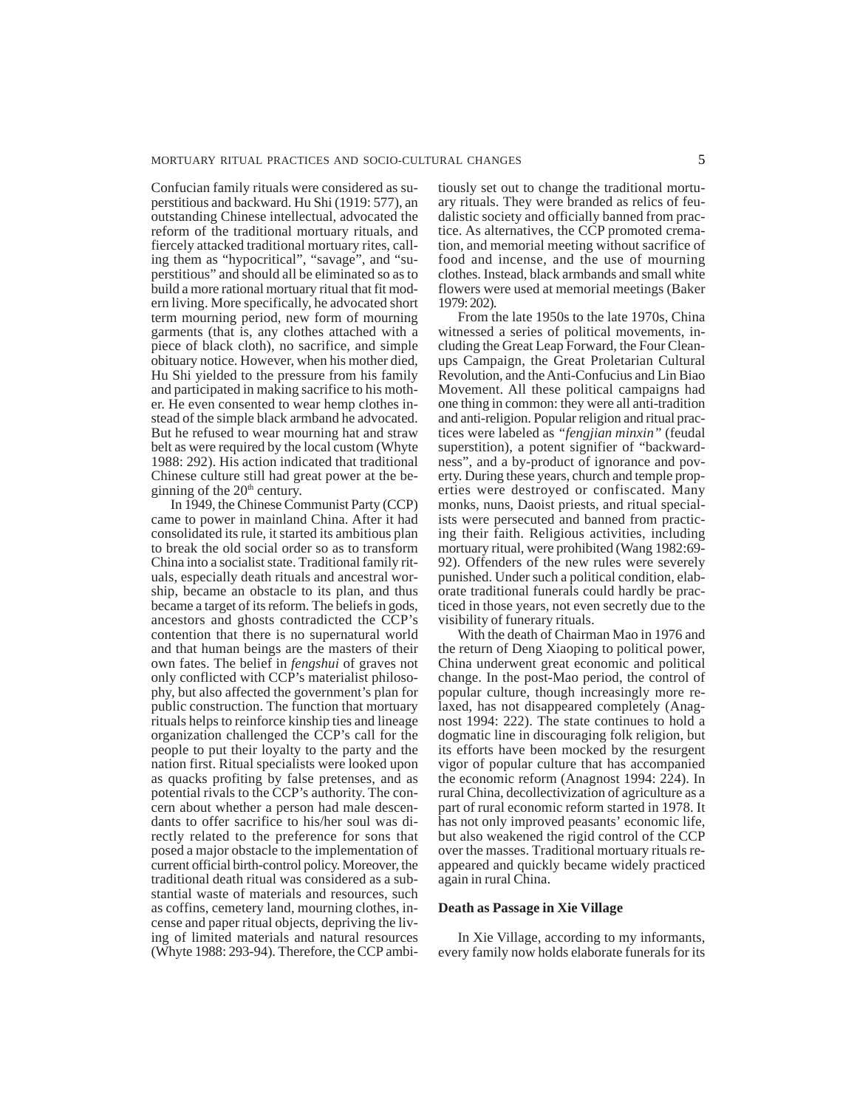Confucian family rituals were considered as superstitious and backward. Hu Shi (1919: 577), an outstanding Chinese intellectual, advocated the reform of the traditional mortuary rituals, and fiercely attacked traditional mortuary rites, calling them as "hypocritical", "savage", and "superstitious" and should all be eliminated so as to build a more rational mortuary ritual that fit modern living. More specifically, he advocated short term mourning period, new form of mourning garments (that is, any clothes attached with a piece of black cloth), no sacrifice, and simple obituary notice. However, when his mother died, Hu Shi yielded to the pressure from his family and participated in making sacrifice to his mother. He even consented to wear hemp clothes instead of the simple black armband he advocated. But he refused to wear mourning hat and straw belt as were required by the local custom (Whyte 1988: 292). His action indicated that traditional Chinese culture still had great power at the beginning of the  $20<sup>th</sup>$  century.

In 1949, the Chinese Communist Party (CCP) came to power in mainland China. After it had consolidated its rule, it started its ambitious plan to break the old social order so as to transform China into a socialist state. Traditional family rituals, especially death rituals and ancestral worship, became an obstacle to its plan, and thus became a target of its reform. The beliefs in gods, ancestors and ghosts contradicted the CCP's contention that there is no supernatural world and that human beings are the masters of their own fates. The belief in *fengshui* of graves not only conflicted with CCP's materialist philosophy, but also affected the government's plan for public construction. The function that mortuary rituals helps to reinforce kinship ties and lineage organization challenged the CCP's call for the people to put their loyalty to the party and the nation first. Ritual specialists were looked upon as quacks profiting by false pretenses, and as potential rivals to the CCP's authority. The concern about whether a person had male descendants to offer sacrifice to his/her soul was directly related to the preference for sons that posed a major obstacle to the implementation of current official birth-control policy. Moreover, the traditional death ritual was considered as a substantial waste of materials and resources, such as coffins, cemetery land, mourning clothes, incense and paper ritual objects, depriving the living of limited materials and natural resources (Whyte 1988: 293-94). Therefore, the CCP ambitiously set out to change the traditional mortuary rituals. They were branded as relics of feudalistic society and officially banned from practice. As alternatives, the CCP promoted cremation, and memorial meeting without sacrifice of food and incense, and the use of mourning clothes. Instead, black armbands and small white flowers were used at memorial meetings (Baker 1979: 202).

From the late 1950s to the late 1970s, China witnessed a series of political movements, including the Great Leap Forward, the Four Cleanups Campaign, the Great Proletarian Cultural Revolution, and the Anti-Confucius and Lin Biao Movement. All these political campaigns had one thing in common: they were all anti-tradition and anti-religion. Popular religion and ritual practices were labeled as *"fengjian minxin"* (feudal superstition), a potent signifier of "backwardness", and a by-product of ignorance and poverty. During these years, church and temple properties were destroyed or confiscated. Many monks, nuns, Daoist priests, and ritual specialists were persecuted and banned from practicing their faith. Religious activities, including mortuary ritual, were prohibited (Wang 1982:69- 92). Offenders of the new rules were severely punished. Under such a political condition, elaborate traditional funerals could hardly be practiced in those years, not even secretly due to the visibility of funerary rituals.

With the death of Chairman Mao in 1976 and the return of Deng Xiaoping to political power, China underwent great economic and political change. In the post-Mao period, the control of popular culture, though increasingly more relaxed, has not disappeared completely (Anagnost 1994: 222). The state continues to hold a dogmatic line in discouraging folk religion, but its efforts have been mocked by the resurgent vigor of popular culture that has accompanied the economic reform (Anagnost 1994: 224). In rural China, decollectivization of agriculture as a part of rural economic reform started in 1978. It has not only improved peasants' economic life, but also weakened the rigid control of the CCP over the masses. Traditional mortuary rituals reappeared and quickly became widely practiced again in rural China.

## **Death as Passage in Xie Village**

In Xie Village, according to my informants, every family now holds elaborate funerals for its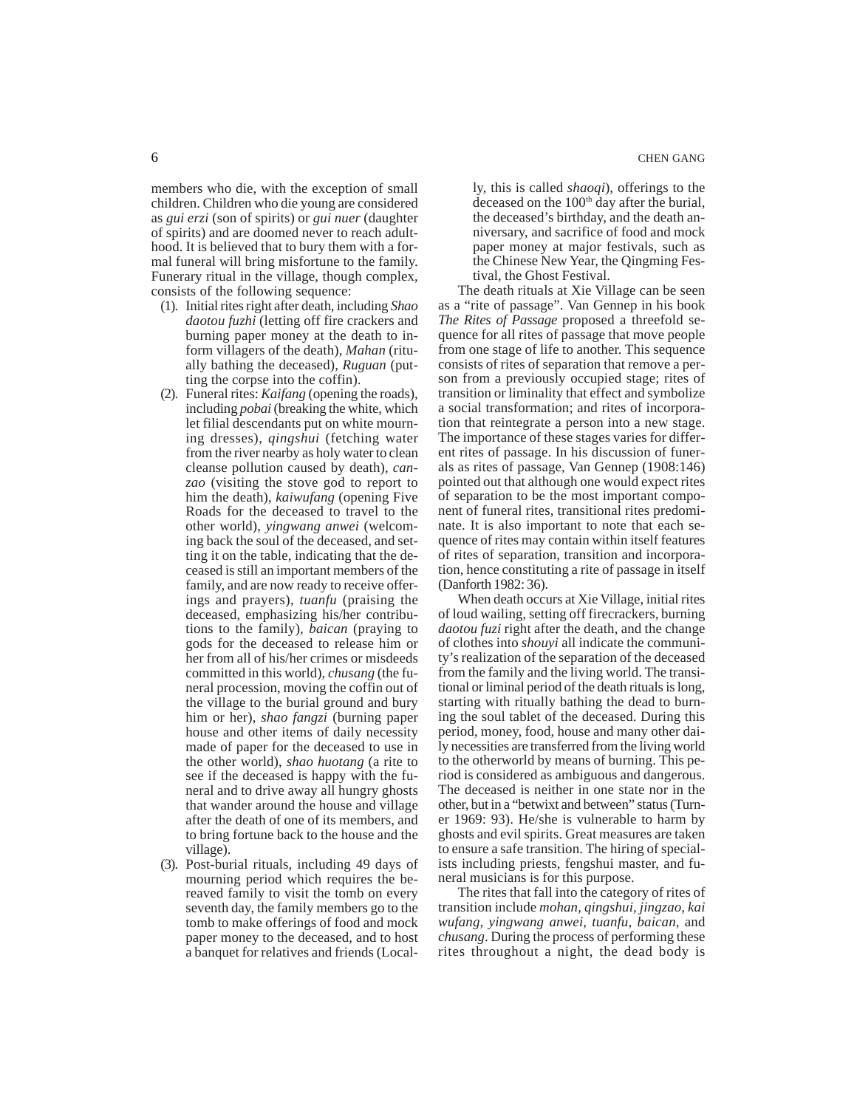members who die, with the exception of small children. Children who die young are considered as *gui erzi* (son of spirits) or *gui nuer* (daughter of spirits) and are doomed never to reach adulthood. It is believed that to bury them with a formal funeral will bring misfortune to the family. Funerary ritual in the village, though complex, consists of the following sequence:

- (1). Initial rites right after death, including *Shao daotou fuzhi* (letting off fire crackers and burning paper money at the death to inform villagers of the death), *Mahan* (ritually bathing the deceased), *Ruguan* (putting the corpse into the coffin).
- (2). Funeral rites: *Kaifang* (opening the roads), including *pobai* (breaking the white, which let filial descendants put on white mourning dresses), *qingshui* (fetching water from the river nearby as holy water to clean cleanse pollution caused by death), *canzao* (visiting the stove god to report to him the death), *kaiwufang* (opening Five Roads for the deceased to travel to the other world), *yingwang anwei* (welcoming back the soul of the deceased, and setting it on the table, indicating that the deceased is still an important members of the family, and are now ready to receive offerings and prayers), *tuanfu* (praising the deceased, emphasizing his/her contributions to the family), *baican* (praying to gods for the deceased to release him or her from all of his/her crimes or misdeeds committed in this world), *chusang* (the funeral procession, moving the coffin out of the village to the burial ground and bury him or her), *shao fangzi* (burning paper house and other items of daily necessity made of paper for the deceased to use in the other world), *shao huotang* (a rite to see if the deceased is happy with the funeral and to drive away all hungry ghosts that wander around the house and village after the death of one of its members, and to bring fortune back to the house and the village).
- (3). Post-burial rituals, including 49 days of mourning period which requires the bereaved family to visit the tomb on every seventh day, the family members go to the tomb to make offerings of food and mock paper money to the deceased, and to host a banquet for relatives and friends (Local-

ly, this is called *shaoqi*), offerings to the deceased on the  $100<sup>th</sup>$  day after the burial, the deceased's birthday, and the death anniversary, and sacrifice of food and mock paper money at major festivals, such as the Chinese New Year, the Qingming Festival, the Ghost Festival.

The death rituals at Xie Village can be seen as a "rite of passage". Van Gennep in his book *The Rites of Passage* proposed a threefold sequence for all rites of passage that move people from one stage of life to another. This sequence consists of rites of separation that remove a person from a previously occupied stage; rites of transition or liminality that effect and symbolize a social transformation; and rites of incorporation that reintegrate a person into a new stage. The importance of these stages varies for different rites of passage. In his discussion of funerals as rites of passage, Van Gennep (1908:146) pointed out that although one would expect rites of separation to be the most important component of funeral rites, transitional rites predominate. It is also important to note that each sequence of rites may contain within itself features of rites of separation, transition and incorporation, hence constituting a rite of passage in itself (Danforth 1982: 36).

When death occurs at Xie Village, initial rites of loud wailing, setting off firecrackers, burning *daotou fuzi* right after the death, and the change of clothes into *shouyi* all indicate the community's realization of the separation of the deceased from the family and the living world. The transitional or liminal period of the death rituals is long, starting with ritually bathing the dead to burning the soul tablet of the deceased. During this period, money, food, house and many other daily necessities are transferred from the living world to the otherworld by means of burning. This period is considered as ambiguous and dangerous. The deceased is neither in one state nor in the other, but in a "betwixt and between" status (Turner 1969: 93). He/she is vulnerable to harm by ghosts and evil spirits. Great measures are taken to ensure a safe transition. The hiring of specialists including priests, fengshui master, and funeral musicians is for this purpose.

The rites that fall into the category of rites of transition include *mohan, qingshui, jingzao, kai wufang, yingwang anwei, tuanfu, baican,* and *chusang*. During the process of performing these rites throughout a night, the dead body is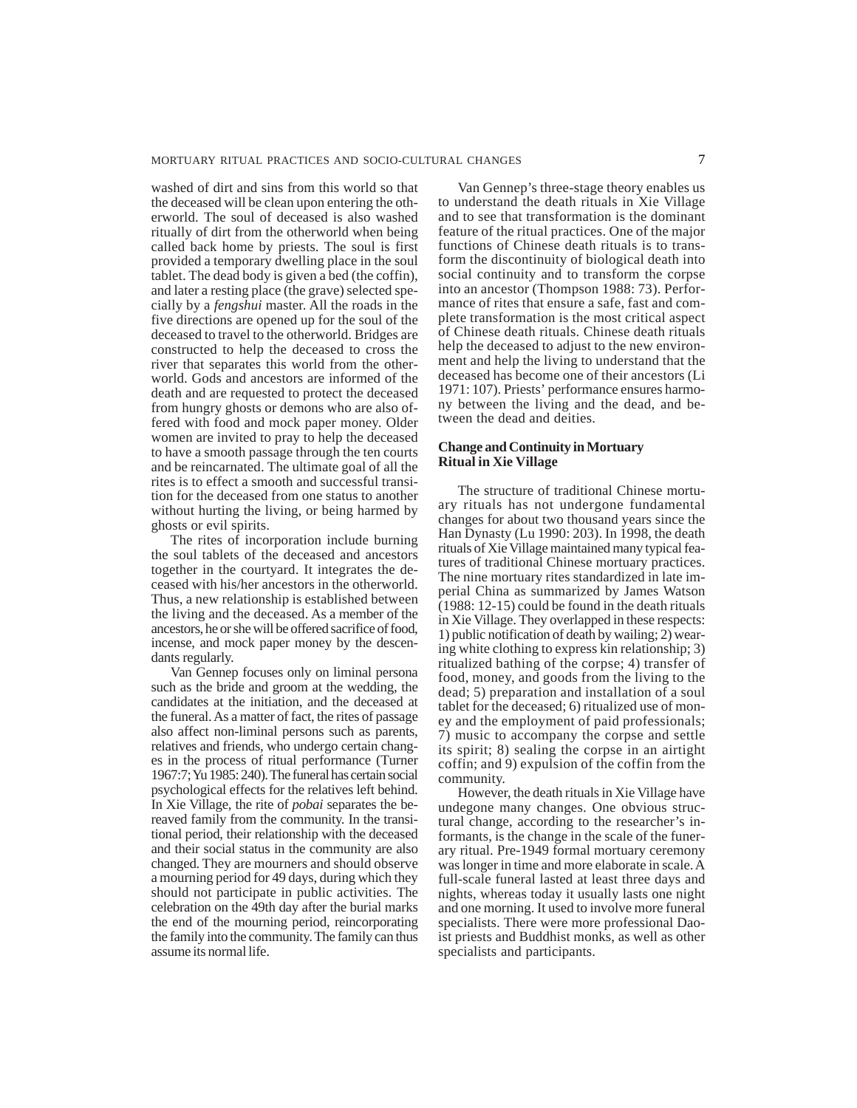washed of dirt and sins from this world so that the deceased will be clean upon entering the otherworld. The soul of deceased is also washed ritually of dirt from the otherworld when being called back home by priests. The soul is first provided a temporary dwelling place in the soul tablet. The dead body is given a bed (the coffin), and later a resting place (the grave) selected specially by a *fengshui* master. All the roads in the five directions are opened up for the soul of the deceased to travel to the otherworld. Bridges are constructed to help the deceased to cross the river that separates this world from the otherworld. Gods and ancestors are informed of the death and are requested to protect the deceased from hungry ghosts or demons who are also offered with food and mock paper money. Older women are invited to pray to help the deceased to have a smooth passage through the ten courts and be reincarnated. The ultimate goal of all the rites is to effect a smooth and successful transition for the deceased from one status to another without hurting the living, or being harmed by ghosts or evil spirits.

The rites of incorporation include burning the soul tablets of the deceased and ancestors together in the courtyard. It integrates the deceased with his/her ancestors in the otherworld. Thus, a new relationship is established between the living and the deceased. As a member of the ancestors, he or she will be offered sacrifice of food, incense, and mock paper money by the descendants regularly.

Van Gennep focuses only on liminal persona such as the bride and groom at the wedding, the candidates at the initiation, and the deceased at the funeral. As a matter of fact, the rites of passage also affect non-liminal persons such as parents, relatives and friends, who undergo certain changes in the process of ritual performance (Turner 1967:7; Yu 1985: 240). The funeral has certain social psychological effects for the relatives left behind. In Xie Village, the rite of *pobai* separates the bereaved family from the community. In the transitional period, their relationship with the deceased and their social status in the community are also changed. They are mourners and should observe a mourning period for 49 days, during which they should not participate in public activities. The celebration on the 49th day after the burial marks the end of the mourning period, reincorporating the family into the community. The family can thus assume its normal life.

Van Gennep's three-stage theory enables us to understand the death rituals in Xie Village and to see that transformation is the dominant feature of the ritual practices. One of the major functions of Chinese death rituals is to transform the discontinuity of biological death into social continuity and to transform the corpse into an ancestor (Thompson 1988: 73). Performance of rites that ensure a safe, fast and complete transformation is the most critical aspect of Chinese death rituals. Chinese death rituals help the deceased to adjust to the new environment and help the living to understand that the deceased has become one of their ancestors (Li 1971: 107). Priests' performance ensures harmony between the living and the dead, and between the dead and deities.

## **Change and Continuity in Mortuary Ritual in Xie Village**

The structure of traditional Chinese mortuary rituals has not undergone fundamental changes for about two thousand years since the Han Dynasty (Lu 1990: 203). In 1998, the death rituals of Xie Village maintained many typical features of traditional Chinese mortuary practices. The nine mortuary rites standardized in late imperial China as summarized by James Watson (1988: 12-15) could be found in the death rituals in Xie Village. They overlapped in these respects: 1) public notification of death by wailing; 2) wearing white clothing to express kin relationship; 3) ritualized bathing of the corpse; 4) transfer of food, money, and goods from the living to the dead; 5) preparation and installation of a soul tablet for the deceased; 6) ritualized use of money and the employment of paid professionals; 7) music to accompany the corpse and settle its spirit; 8) sealing the corpse in an airtight coffin; and 9) expulsion of the coffin from the community.

However, the death rituals in Xie Village have undegone many changes. One obvious structural change, according to the researcher's informants, is the change in the scale of the funerary ritual. Pre-1949 formal mortuary ceremony was longer in time and more elaborate in scale. A full-scale funeral lasted at least three days and nights, whereas today it usually lasts one night and one morning. It used to involve more funeral specialists. There were more professional Daoist priests and Buddhist monks, as well as other specialists and participants.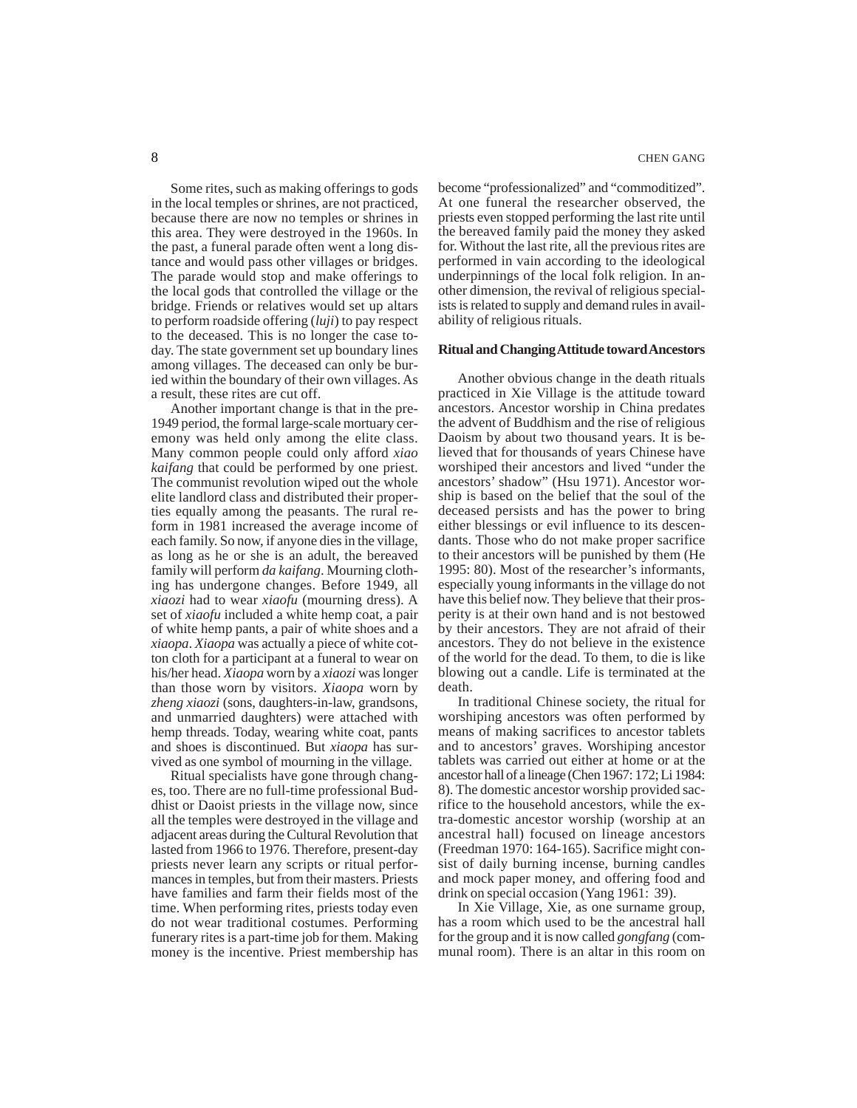Some rites, such as making offerings to gods in the local temples or shrines, are not practiced, because there are now no temples or shrines in this area. They were destroyed in the 1960s. In the past, a funeral parade often went a long distance and would pass other villages or bridges. The parade would stop and make offerings to the local gods that controlled the village or the bridge. Friends or relatives would set up altars to perform roadside offering (*luji*) to pay respect to the deceased. This is no longer the case today. The state government set up boundary lines among villages. The deceased can only be buried within the boundary of their own villages. As a result, these rites are cut off.

Another important change is that in the pre-1949 period, the formal large-scale mortuary ceremony was held only among the elite class. Many common people could only afford *xiao kaifang* that could be performed by one priest. The communist revolution wiped out the whole elite landlord class and distributed their properties equally among the peasants. The rural reform in 1981 increased the average income of each family. So now, if anyone dies in the village, as long as he or she is an adult, the bereaved family will perform *da kaifang*. Mourning clothing has undergone changes. Before 1949, all *xiaozi* had to wear *xiaofu* (mourning dress). A set of *xiaofu* included a white hemp coat, a pair of white hemp pants, a pair of white shoes and a *xiaopa*. *Xiaopa* was actually a piece of white cotton cloth for a participant at a funeral to wear on his/her head. *Xiaopa* worn by a *xiaozi* was longer than those worn by visitors. *Xiaopa* worn by *zheng xiaozi* (sons, daughters-in-law, grandsons, and unmarried daughters) were attached with hemp threads. Today, wearing white coat, pants and shoes is discontinued. But *xiaopa* has survived as one symbol of mourning in the village.

Ritual specialists have gone through changes, too. There are no full-time professional Buddhist or Daoist priests in the village now, since all the temples were destroyed in the village and adjacent areas during the Cultural Revolution that lasted from 1966 to 1976. Therefore, present-day priests never learn any scripts or ritual performances in temples, but from their masters. Priests have families and farm their fields most of the time. When performing rites, priests today even do not wear traditional costumes. Performing funerary rites is a part-time job for them. Making money is the incentive. Priest membership has

become "professionalized" and "commoditized". At one funeral the researcher observed, the priests even stopped performing the last rite until the bereaved family paid the money they asked for. Without the last rite, all the previous rites are performed in vain according to the ideological underpinnings of the local folk religion. In another dimension, the revival of religious specialists is related to supply and demand rules in availability of religious rituals.

## **Ritual and Changing Attitude toward Ancestors**

Another obvious change in the death rituals practiced in Xie Village is the attitude toward ancestors. Ancestor worship in China predates the advent of Buddhism and the rise of religious Daoism by about two thousand years. It is believed that for thousands of years Chinese have worshiped their ancestors and lived "under the ancestors' shadow" (Hsu 1971). Ancestor worship is based on the belief that the soul of the deceased persists and has the power to bring either blessings or evil influence to its descendants. Those who do not make proper sacrifice to their ancestors will be punished by them (He 1995: 80). Most of the researcher's informants, especially young informants in the village do not have this belief now. They believe that their prosperity is at their own hand and is not bestowed by their ancestors. They are not afraid of their ancestors. They do not believe in the existence of the world for the dead. To them, to die is like blowing out a candle. Life is terminated at the death.

In traditional Chinese society, the ritual for worshiping ancestors was often performed by means of making sacrifices to ancestor tablets and to ancestors' graves. Worshiping ancestor tablets was carried out either at home or at the ancestor hall of a lineage (Chen 1967: 172; Li 1984: 8). The domestic ancestor worship provided sacrifice to the household ancestors, while the extra-domestic ancestor worship (worship at an ancestral hall) focused on lineage ancestors (Freedman 1970: 164-165). Sacrifice might consist of daily burning incense, burning candles and mock paper money, and offering food and drink on special occasion (Yang 1961: 39).

In Xie Village, Xie, as one surname group, has a room which used to be the ancestral hall for the group and it is now called *gongfang* (communal room). There is an altar in this room on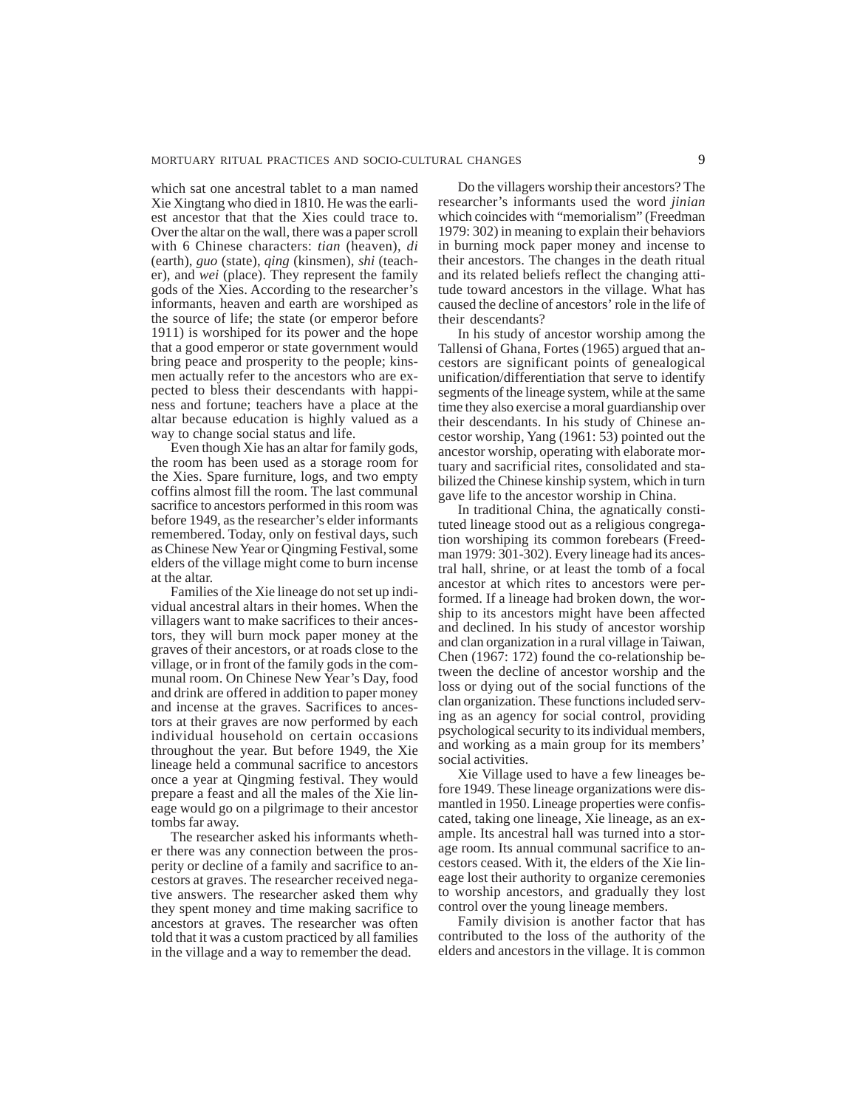which sat one ancestral tablet to a man named Xie Xingtang who died in 1810. He was the earliest ancestor that that the Xies could trace to. Over the altar on the wall, there was a paper scroll with 6 Chinese characters: *tian* (heaven), *di* (earth), *guo* (state), *qing* (kinsmen), *shi* (teacher), and *wei* (place). They represent the family gods of the Xies. According to the researcher's informants, heaven and earth are worshiped as the source of life; the state (or emperor before 1911) is worshiped for its power and the hope that a good emperor or state government would bring peace and prosperity to the people; kinsmen actually refer to the ancestors who are expected to bless their descendants with happiness and fortune; teachers have a place at the altar because education is highly valued as a way to change social status and life.

Even though Xie has an altar for family gods, the room has been used as a storage room for the Xies. Spare furniture, logs, and two empty coffins almost fill the room. The last communal sacrifice to ancestors performed in this room was before 1949, as the researcher's elder informants remembered. Today, only on festival days, such as Chinese New Year or Qingming Festival, some elders of the village might come to burn incense at the altar.

Families of the Xie lineage do not set up individual ancestral altars in their homes. When the villagers want to make sacrifices to their ancestors, they will burn mock paper money at the graves of their ancestors, or at roads close to the village, or in front of the family gods in the communal room. On Chinese New Year's Day, food and drink are offered in addition to paper money and incense at the graves. Sacrifices to ancestors at their graves are now performed by each individual household on certain occasions throughout the year. But before 1949, the Xie lineage held a communal sacrifice to ancestors once a year at Qingming festival. They would prepare a feast and all the males of the Xie lineage would go on a pilgrimage to their ancestor tombs far away.

The researcher asked his informants whether there was any connection between the prosperity or decline of a family and sacrifice to ancestors at graves. The researcher received negative answers. The researcher asked them why they spent money and time making sacrifice to ancestors at graves. The researcher was often told that it was a custom practiced by all families in the village and a way to remember the dead.

Do the villagers worship their ancestors? The researcher's informants used the word *jinian* which coincides with "memorialism" (Freedman 1979: 302) in meaning to explain their behaviors in burning mock paper money and incense to their ancestors. The changes in the death ritual and its related beliefs reflect the changing attitude toward ancestors in the village. What has caused the decline of ancestors' role in the life of their descendants?

In his study of ancestor worship among the Tallensi of Ghana, Fortes (1965) argued that ancestors are significant points of genealogical unification/differentiation that serve to identify segments of the lineage system, while at the same time they also exercise a moral guardianship over their descendants. In his study of Chinese ancestor worship, Yang (1961: 53) pointed out the ancestor worship, operating with elaborate mortuary and sacrificial rites, consolidated and stabilized the Chinese kinship system, which in turn gave life to the ancestor worship in China.

In traditional China, the agnatically constituted lineage stood out as a religious congregation worshiping its common forebears (Freedman 1979: 301-302). Every lineage had its ancestral hall, shrine, or at least the tomb of a focal ancestor at which rites to ancestors were performed. If a lineage had broken down, the worship to its ancestors might have been affected and declined. In his study of ancestor worship and clan organization in a rural village in Taiwan, Chen (1967: 172) found the co-relationship between the decline of ancestor worship and the loss or dying out of the social functions of the clan organization. These functions included serving as an agency for social control, providing psychological security to its individual members, and working as a main group for its members' social activities.

Xie Village used to have a few lineages before 1949. These lineage organizations were dismantled in 1950. Lineage properties were confiscated, taking one lineage, Xie lineage, as an example. Its ancestral hall was turned into a storage room. Its annual communal sacrifice to ancestors ceased. With it, the elders of the Xie lineage lost their authority to organize ceremonies to worship ancestors, and gradually they lost control over the young lineage members.

Family division is another factor that has contributed to the loss of the authority of the elders and ancestors in the village. It is common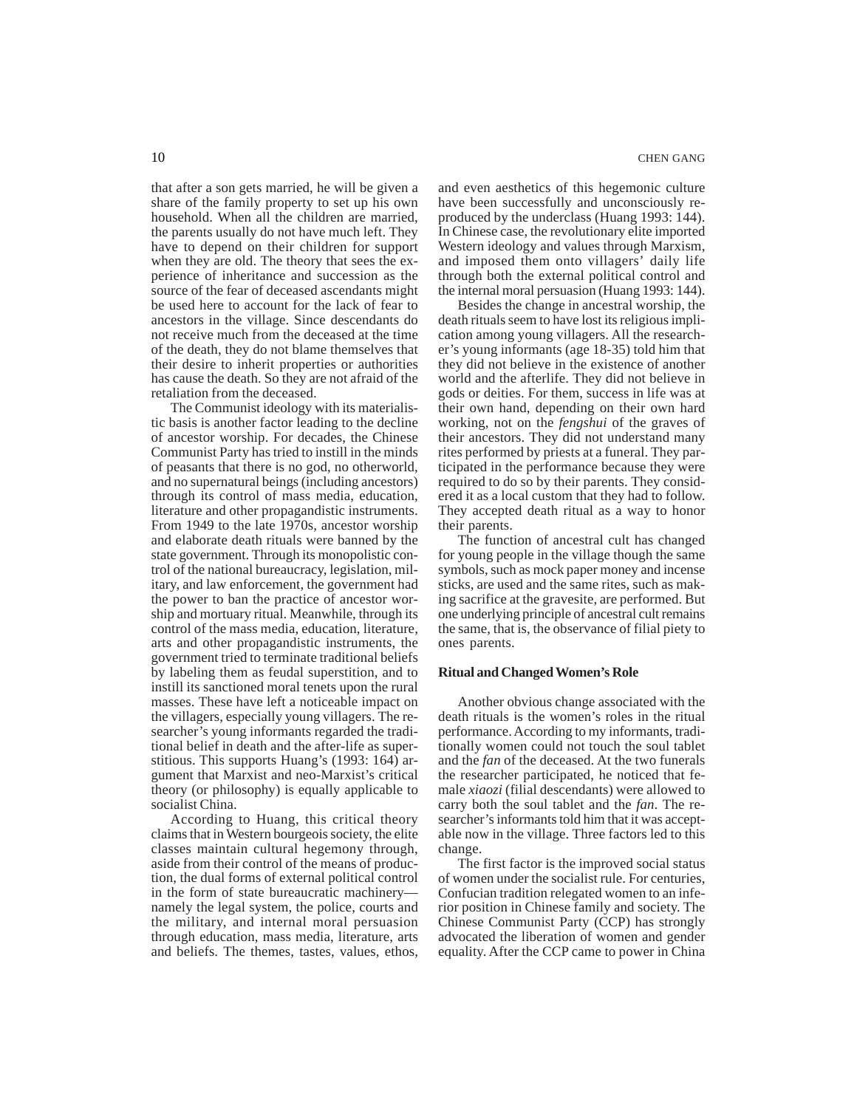that after a son gets married, he will be given a share of the family property to set up his own household. When all the children are married, the parents usually do not have much left. They have to depend on their children for support when they are old. The theory that sees the experience of inheritance and succession as the source of the fear of deceased ascendants might be used here to account for the lack of fear to ancestors in the village. Since descendants do not receive much from the deceased at the time of the death, they do not blame themselves that their desire to inherit properties or authorities has cause the death. So they are not afraid of the retaliation from the deceased.

The Communist ideology with its materialistic basis is another factor leading to the decline of ancestor worship. For decades, the Chinese Communist Party has tried to instill in the minds of peasants that there is no god, no otherworld, and no supernatural beings (including ancestors) through its control of mass media, education, literature and other propagandistic instruments. From 1949 to the late 1970s, ancestor worship and elaborate death rituals were banned by the state government. Through its monopolistic control of the national bureaucracy, legislation, military, and law enforcement, the government had the power to ban the practice of ancestor worship and mortuary ritual. Meanwhile, through its control of the mass media, education, literature, arts and other propagandistic instruments, the government tried to terminate traditional beliefs by labeling them as feudal superstition, and to instill its sanctioned moral tenets upon the rural masses. These have left a noticeable impact on the villagers, especially young villagers. The researcher's young informants regarded the traditional belief in death and the after-life as superstitious. This supports Huang's (1993: 164) argument that Marxist and neo-Marxist's critical theory (or philosophy) is equally applicable to socialist China.

According to Huang, this critical theory claims that in Western bourgeois society, the elite classes maintain cultural hegemony through, aside from their control of the means of production, the dual forms of external political control in the form of state bureaucratic machinery namely the legal system, the police, courts and the military, and internal moral persuasion through education, mass media, literature, arts and beliefs. The themes, tastes, values, ethos,

and even aesthetics of this hegemonic culture have been successfully and unconsciously reproduced by the underclass (Huang 1993: 144). In Chinese case, the revolutionary elite imported Western ideology and values through Marxism, and imposed them onto villagers' daily life through both the external political control and the internal moral persuasion (Huang 1993: 144).

Besides the change in ancestral worship, the death rituals seem to have lost its religious implication among young villagers. All the researcher's young informants (age 18-35) told him that they did not believe in the existence of another world and the afterlife. They did not believe in gods or deities. For them, success in life was at their own hand, depending on their own hard working, not on the *fengshui* of the graves of their ancestors. They did not understand many rites performed by priests at a funeral. They participated in the performance because they were required to do so by their parents. They considered it as a local custom that they had to follow. They accepted death ritual as a way to honor their parents.

The function of ancestral cult has changed for young people in the village though the same symbols, such as mock paper money and incense sticks, are used and the same rites, such as making sacrifice at the gravesite, are performed. But one underlying principle of ancestral cult remains the same, that is, the observance of filial piety to ones parents.

## **Ritual and Changed Women's Role**

Another obvious change associated with the death rituals is the women's roles in the ritual performance. According to my informants, traditionally women could not touch the soul tablet and the *fan* of the deceased. At the two funerals the researcher participated, he noticed that female *xiaozi* (filial descendants) were allowed to carry both the soul tablet and the *fan*. The researcher's informants told him that it was acceptable now in the village. Three factors led to this change.

The first factor is the improved social status of women under the socialist rule. For centuries, Confucian tradition relegated women to an inferior position in Chinese family and society. The Chinese Communist Party (CCP) has strongly advocated the liberation of women and gender equality. After the CCP came to power in China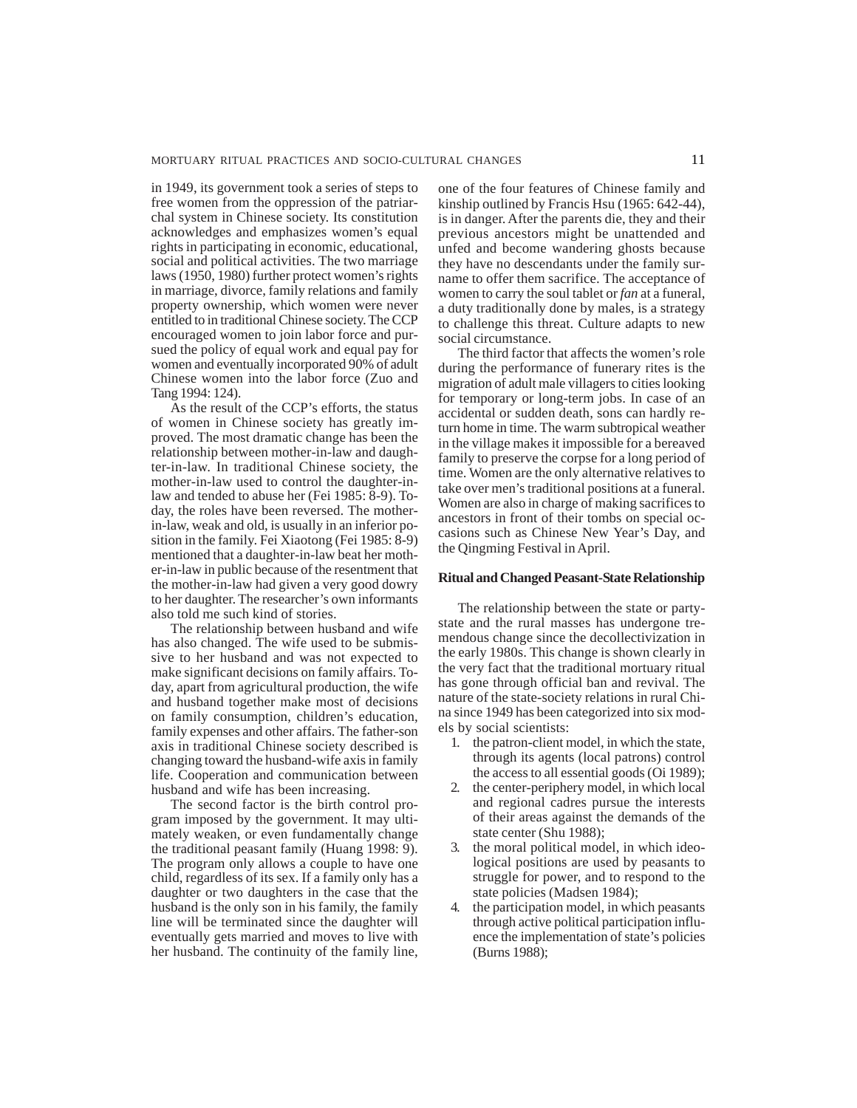in 1949, its government took a series of steps to free women from the oppression of the patriarchal system in Chinese society. Its constitution acknowledges and emphasizes women's equal rights in participating in economic, educational, social and political activities. The two marriage laws (1950, 1980) further protect women's rights in marriage, divorce, family relations and family property ownership, which women were never entitled to in traditional Chinese society. The CCP encouraged women to join labor force and pursued the policy of equal work and equal pay for women and eventually incorporated 90% of adult Chinese women into the labor force (Zuo and Tang 1994: 124).

As the result of the CCP's efforts, the status of women in Chinese society has greatly improved. The most dramatic change has been the relationship between mother-in-law and daughter-in-law. In traditional Chinese society, the mother-in-law used to control the daughter-inlaw and tended to abuse her (Fei 1985: 8-9). Today, the roles have been reversed. The motherin-law, weak and old, is usually in an inferior position in the family. Fei Xiaotong (Fei 1985: 8-9) mentioned that a daughter-in-law beat her mother-in-law in public because of the resentment that the mother-in-law had given a very good dowry to her daughter. The researcher's own informants also told me such kind of stories.

The relationship between husband and wife has also changed. The wife used to be submissive to her husband and was not expected to make significant decisions on family affairs. Today, apart from agricultural production, the wife and husband together make most of decisions on family consumption, children's education, family expenses and other affairs. The father-son axis in traditional Chinese society described is changing toward the husband-wife axis in family life. Cooperation and communication between husband and wife has been increasing.

The second factor is the birth control program imposed by the government. It may ultimately weaken, or even fundamentally change the traditional peasant family (Huang 1998: 9). The program only allows a couple to have one child, regardless of its sex. If a family only has a daughter or two daughters in the case that the husband is the only son in his family, the family line will be terminated since the daughter will eventually gets married and moves to live with her husband. The continuity of the family line, one of the four features of Chinese family and kinship outlined by Francis Hsu (1965: 642-44), is in danger. After the parents die, they and their previous ancestors might be unattended and unfed and become wandering ghosts because they have no descendants under the family surname to offer them sacrifice. The acceptance of women to carry the soul tablet or *fan* at a funeral, a duty traditionally done by males, is a strategy to challenge this threat. Culture adapts to new social circumstance.

The third factor that affects the women's role during the performance of funerary rites is the migration of adult male villagers to cities looking for temporary or long-term jobs. In case of an accidental or sudden death, sons can hardly return home in time. The warm subtropical weather in the village makes it impossible for a bereaved family to preserve the corpse for a long period of time. Women are the only alternative relatives to take over men's traditional positions at a funeral. Women are also in charge of making sacrifices to ancestors in front of their tombs on special occasions such as Chinese New Year's Day, and the Qingming Festival in April.

## **Ritual and Changed Peasant-State Relationship**

The relationship between the state or partystate and the rural masses has undergone tremendous change since the decollectivization in the early 1980s. This change is shown clearly in the very fact that the traditional mortuary ritual has gone through official ban and revival. The nature of the state-society relations in rural China since 1949 has been categorized into six models by social scientists:

- 1. the patron-client model, in which the state, through its agents (local patrons) control the access to all essential goods (Oi 1989);
- 2. the center-periphery model, in which local and regional cadres pursue the interests of their areas against the demands of the state center (Shu 1988);
- 3. the moral political model, in which ideological positions are used by peasants to struggle for power, and to respond to the state policies (Madsen 1984);
- 4. the participation model, in which peasants through active political participation influence the implementation of state's policies (Burns 1988);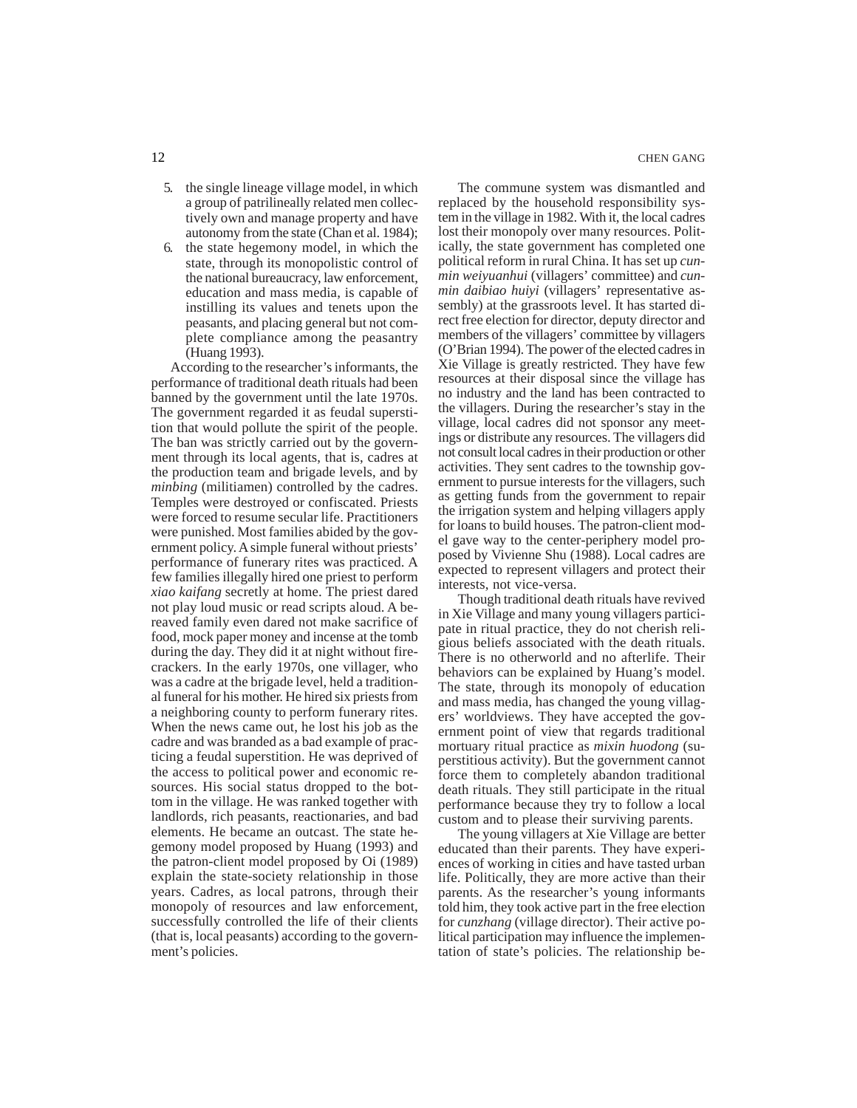5. the single lineage village model, in which a group of patrilineally related men collectively own and manage property and have autonomy from the state (Chan et al. 1984);

6. the state hegemony model, in which the state, through its monopolistic control of the national bureaucracy, law enforcement, education and mass media, is capable of instilling its values and tenets upon the peasants, and placing general but not complete compliance among the peasantry (Huang 1993).

According to the researcher's informants, the performance of traditional death rituals had been banned by the government until the late 1970s. The government regarded it as feudal superstition that would pollute the spirit of the people. The ban was strictly carried out by the government through its local agents, that is, cadres at the production team and brigade levels, and by *minbing* (militiamen) controlled by the cadres. Temples were destroyed or confiscated. Priests were forced to resume secular life. Practitioners were punished. Most families abided by the government policy. A simple funeral without priests' performance of funerary rites was practiced. A few families illegally hired one priest to perform *xiao kaifang* secretly at home. The priest dared not play loud music or read scripts aloud. A bereaved family even dared not make sacrifice of food, mock paper money and incense at the tomb during the day. They did it at night without firecrackers. In the early 1970s, one villager, who was a cadre at the brigade level, held a traditional funeral for his mother. He hired six priests from a neighboring county to perform funerary rites. When the news came out, he lost his job as the cadre and was branded as a bad example of practicing a feudal superstition. He was deprived of the access to political power and economic resources. His social status dropped to the bottom in the village. He was ranked together with landlords, rich peasants, reactionaries, and bad elements. He became an outcast. The state hegemony model proposed by Huang (1993) and the patron-client model proposed by Oi (1989) explain the state-society relationship in those years. Cadres, as local patrons, through their monopoly of resources and law enforcement, successfully controlled the life of their clients (that is, local peasants) according to the government's policies.

The commune system was dismantled and replaced by the household responsibility system in the village in 1982. With it, the local cadres lost their monopoly over many resources. Politically, the state government has completed one political reform in rural China. It has set up *cunmin weiyuanhui* (villagers' committee) and *cunmin daibiao huiyi* (villagers' representative assembly) at the grassroots level. It has started direct free election for director, deputy director and members of the villagers' committee by villagers (O'Brian 1994). The power of the elected cadres in Xie Village is greatly restricted. They have few resources at their disposal since the village has no industry and the land has been contracted to the villagers. During the researcher's stay in the village, local cadres did not sponsor any meetings or distribute any resources. The villagers did not consult local cadres in their production or other activities. They sent cadres to the township government to pursue interests for the villagers, such as getting funds from the government to repair the irrigation system and helping villagers apply for loans to build houses. The patron-client model gave way to the center-periphery model proposed by Vivienne Shu (1988). Local cadres are expected to represent villagers and protect their interests, not vice-versa.

Though traditional death rituals have revived in Xie Village and many young villagers participate in ritual practice, they do not cherish religious beliefs associated with the death rituals. There is no otherworld and no afterlife. Their behaviors can be explained by Huang's model. The state, through its monopoly of education and mass media, has changed the young villagers' worldviews. They have accepted the government point of view that regards traditional mortuary ritual practice as *mixin huodong* (superstitious activity). But the government cannot force them to completely abandon traditional death rituals. They still participate in the ritual performance because they try to follow a local custom and to please their surviving parents.

The young villagers at Xie Village are better educated than their parents. They have experiences of working in cities and have tasted urban life. Politically, they are more active than their parents. As the researcher's young informants told him, they took active part in the free election for *cunzhang* (village director). Their active political participation may influence the implementation of state's policies. The relationship be-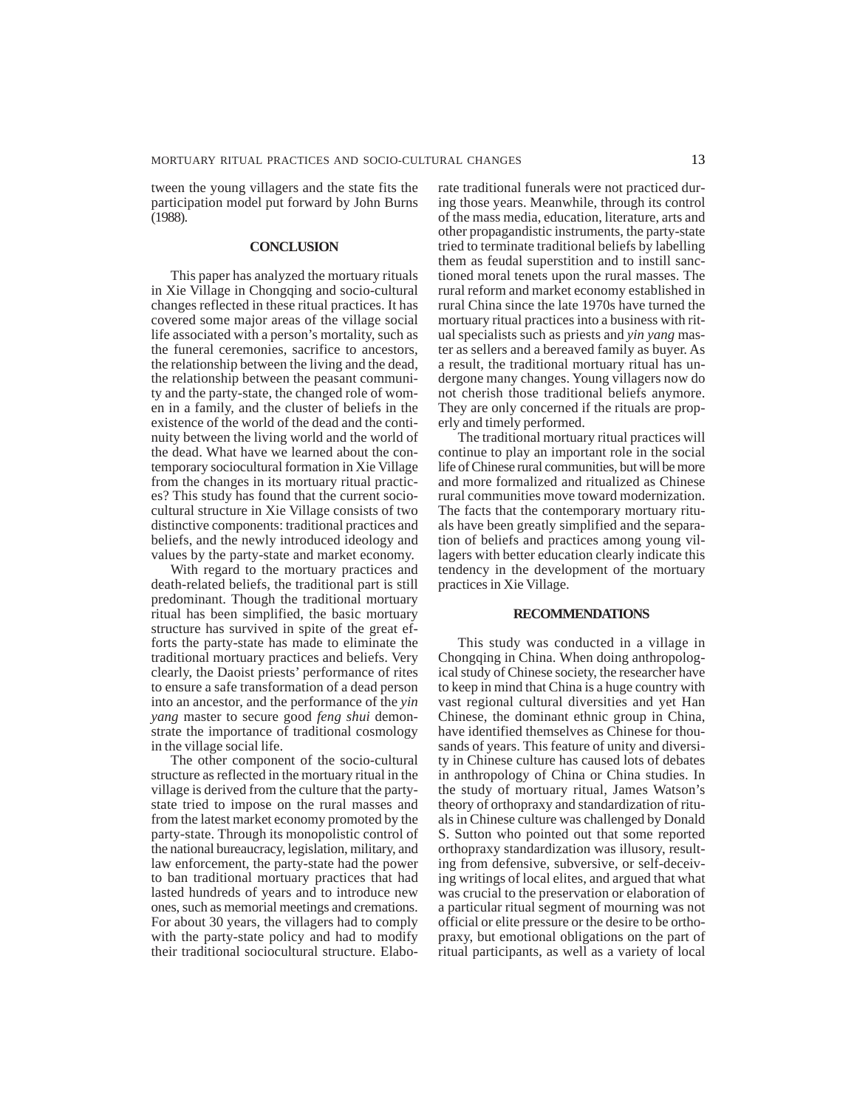tween the young villagers and the state fits the participation model put forward by John Burns (1988).

#### **CONCLUSION**

This paper has analyzed the mortuary rituals in Xie Village in Chongqing and socio-cultural changes reflected in these ritual practices. It has covered some major areas of the village social life associated with a person's mortality, such as the funeral ceremonies, sacrifice to ancestors, the relationship between the living and the dead, the relationship between the peasant community and the party-state, the changed role of women in a family, and the cluster of beliefs in the existence of the world of the dead and the continuity between the living world and the world of the dead. What have we learned about the contemporary sociocultural formation in Xie Village from the changes in its mortuary ritual practices? This study has found that the current sociocultural structure in Xie Village consists of two distinctive components: traditional practices and beliefs, and the newly introduced ideology and values by the party-state and market economy.

With regard to the mortuary practices and death-related beliefs, the traditional part is still predominant. Though the traditional mortuary ritual has been simplified, the basic mortuary structure has survived in spite of the great efforts the party-state has made to eliminate the traditional mortuary practices and beliefs. Very clearly, the Daoist priests' performance of rites to ensure a safe transformation of a dead person into an ancestor, and the performance of the *yin yang* master to secure good *feng shui* demonstrate the importance of traditional cosmology in the village social life.

The other component of the socio-cultural structure as reflected in the mortuary ritual in the village is derived from the culture that the partystate tried to impose on the rural masses and from the latest market economy promoted by the party-state. Through its monopolistic control of the national bureaucracy, legislation, military, and law enforcement, the party-state had the power to ban traditional mortuary practices that had lasted hundreds of years and to introduce new ones, such as memorial meetings and cremations. For about 30 years, the villagers had to comply with the party-state policy and had to modify their traditional sociocultural structure. Elaborate traditional funerals were not practiced during those years. Meanwhile, through its control of the mass media, education, literature, arts and other propagandistic instruments, the party-state tried to terminate traditional beliefs by labelling them as feudal superstition and to instill sanctioned moral tenets upon the rural masses. The rural reform and market economy established in rural China since the late 1970s have turned the mortuary ritual practices into a business with ritual specialists such as priests and *yin yang* master as sellers and a bereaved family as buyer. As a result, the traditional mortuary ritual has undergone many changes. Young villagers now do not cherish those traditional beliefs anymore. They are only concerned if the rituals are properly and timely performed.

The traditional mortuary ritual practices will continue to play an important role in the social life of Chinese rural communities, but will be more and more formalized and ritualized as Chinese rural communities move toward modernization. The facts that the contemporary mortuary rituals have been greatly simplified and the separation of beliefs and practices among young villagers with better education clearly indicate this tendency in the development of the mortuary practices in Xie Village.

#### **RECOMMENDATIONS**

This study was conducted in a village in Chongqing in China. When doing anthropological study of Chinese society, the researcher have to keep in mind that China is a huge country with vast regional cultural diversities and yet Han Chinese, the dominant ethnic group in China, have identified themselves as Chinese for thousands of years. This feature of unity and diversity in Chinese culture has caused lots of debates in anthropology of China or China studies. In the study of mortuary ritual, James Watson's theory of orthopraxy and standardization of rituals in Chinese culture was challenged by Donald S. Sutton who pointed out that some reported orthopraxy standardization was illusory, resulting from defensive, subversive, or self-deceiving writings of local elites, and argued that what was crucial to the preservation or elaboration of a particular ritual segment of mourning was not official or elite pressure or the desire to be orthopraxy, but emotional obligations on the part of ritual participants, as well as a variety of local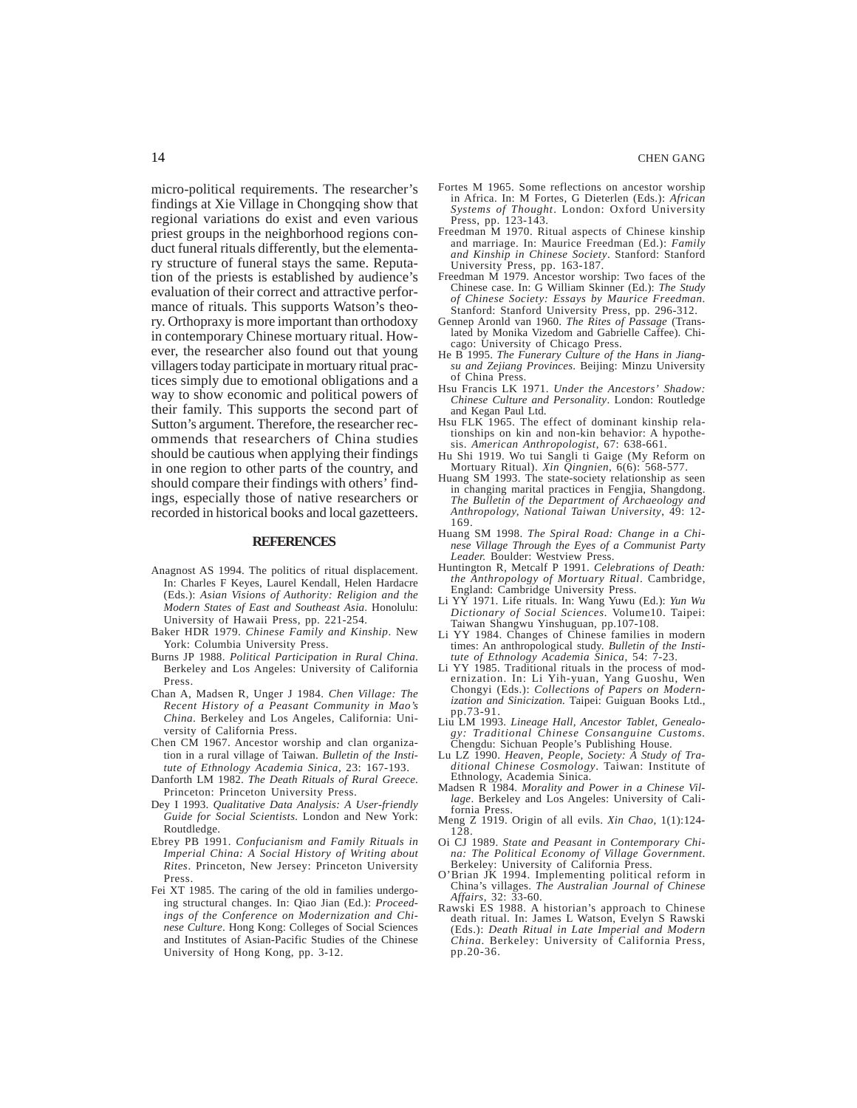micro-political requirements. The researcher's findings at Xie Village in Chongqing show that regional variations do exist and even various priest groups in the neighborhood regions conduct funeral rituals differently, but the elementary structure of funeral stays the same. Reputation of the priests is established by audience's evaluation of their correct and attractive performance of rituals. This supports Watson's theory. Orthopraxy is more important than orthodoxy in contemporary Chinese mortuary ritual. However, the researcher also found out that young villagers today participate in mortuary ritual practices simply due to emotional obligations and a way to show economic and political powers of their family. This supports the second part of Sutton's argument. Therefore, the researcher recommends that researchers of China studies should be cautious when applying their findings in one region to other parts of the country, and should compare their findings with others' findings, especially those of native researchers or recorded in historical books and local gazetteers.

#### **REFERENCES**

- Anagnost AS 1994. The politics of ritual displacement. In: Charles F Keyes, Laurel Kendall, Helen Hardacre (Eds.): *Asian Visions of Authority: Religion and the Modern States of East and Southeast Asia*. Honolulu: University of Hawaii Press, pp. 221-254.
- Baker HDR 1979. *Chinese Family and Kinship*. New York: Columbia University Press.
- Burns JP 1988. *Political Participation in Rural China*. Berkeley and Los Angeles: University of California Press.
- Chan A, Madsen R, Unger J 1984. *Chen Village: The Recent History of a Peasant Community in Mao's China*. Berkeley and Los Angeles, California: University of California Press.
- Chen CM 1967. Ancestor worship and clan organization in a rural village of Taiwan. *Bulletin of the Institute of Ethnology Academia Sinica,* 23: 167-193.
- Danforth LM 1982. *The Death Rituals of Rural Greece*. Princeton: Princeton University Press.
- Dey I 1993. *Qualitative Data Analysis: A User-friendly Guide for Social Scientists.* London and New York: Routdledge.
- Ebrey PB 1991. *Confucianism and Family Rituals in Imperial China: A Social History of Writing about Rites*. Princeton, New Jersey: Princeton University Press.
- Fei XT 1985. The caring of the old in families undergoing structural changes. In: Qiao Jian (Ed.): *Proceedings of the Conference on Modernization and Chinese Culture*. Hong Kong: Colleges of Social Sciences and Institutes of Asian-Pacific Studies of the Chinese University of Hong Kong, pp. 3-12.
- Fortes M 1965. Some reflections on ancestor worship in Africa. In: M Fortes, G Dieterlen (Eds.): *African Systems of Thought*. London: Oxford University Press, pp. 123-143. Freedman M 1970. Ritual aspects of Chinese kinship
- and marriage. In: Maurice Freedman (Ed.): *Family and Kinship in Chinese Society*. Stanford: Stanford University Press, pp. 163-187.
- Freedman M 1979. Ancestor worship: Two faces of the Chinese case. In: G William Skinner (Ed.): *The Study of Chinese Society: Essays by Maurice Freedman*. Stanford: Stanford University Press, pp. 296-312.
- Gennep Aronld van 1960. *The Rites of Passage* (Translated by Monika Vizedom and Gabrielle Caffee). Chicago: University of Chicago Press.
- He B 1995. *The Funerary Culture of the Hans in Jiangsu and Zejiang Provinces*. Beijing: Minzu University of China Press.
- Hsu Francis LK 1971. *Under the Ancestors' Shadow: Chinese Culture and Personality*. London: Routledge and Kegan Paul Ltd.
- Hsu FLK 1965. The effect of dominant kinship relationships on kin and non-kin behavior: A hypothesis. *American Anthropologist*, 67: 638-661.
- Hu Shi 1919. Wo tui Sangli ti Gaige (My Reform on Mortuary Ritual). *Xin Qingnien*, 6(6): 568-577.
- Huang SM 1993. The state-society relationship as seen in changing marital practices in Fengjia, Shangdong. *The Bulletin of the Department of Archaeology and Anthropology, National Taiwan University*, 49: 12- 169.
- Huang SM 1998. *The Spiral Road: Change in a Chinese Village Through the Eyes of a Communist Party Leader.* Boulder: Westview Press.
- Huntington R, Metcalf P 1991. *Celebrations of Death: the Anthropology of Mortuary Ritual*. Cambridge, England: Cambridge University Press.
- Li YY 1971. Life rituals. In: Wang Yuwu (Ed.): *Yun Wu Dictionary of Social Sciences.* Volume10. Taipei: Taiwan Shangwu Yinshuguan, pp.107-108.
- Li YY 1984. Changes of Chinese families in modern times: An anthropological study. *Bulletin of the Institute of Ethnology Academia Sinica*, 54: 7-23.
- Li YY 1985. Traditional rituals in the process of modernization. In: Li Yih-yuan, Yang Guoshu, Wen Chongyi (Eds.): *Collections of Papers on Modernization and Sinicization.* Taipei: Guiguan Books Ltd., pp.73-91.
- Liu LM 1993. *Lineage Hall, Ancestor Tablet, Genealogy: Traditional Chinese Consanguine Customs.* Chengdu: Sichuan People's Publishing House.
- Lu LZ 1990. *Heaven, People, Society: A Study of Traditional Chinese Cosmology*. Taiwan: Institute of
- Ethnology, Academia Sinica. Madsen R 1984. *Morality and Power in a Chinese Village*. Berkeley and Los Angeles: University of Cali-
- fornia Press. Meng Z 1919. Origin of all evils. *Xin Chao*, 1(1):124- 128.
- Oi CJ 1989. *State and Peasant in Contemporary China: The Political Economy of Village Government*. Berkeley: University of California Press.
- O'Brian JK 1994. Implementing political reform in China's villages. *The Australian Journal of Chinese Affairs*, 32: 33-60.
- Rawski ES 1988. A historian's approach to Chinese death ritual. In: James L Watson, Evelyn S Rawski (Eds.): *Death Ritual in Late Imperial and Modern China*. Berkeley: University of California Press, pp.20-36.